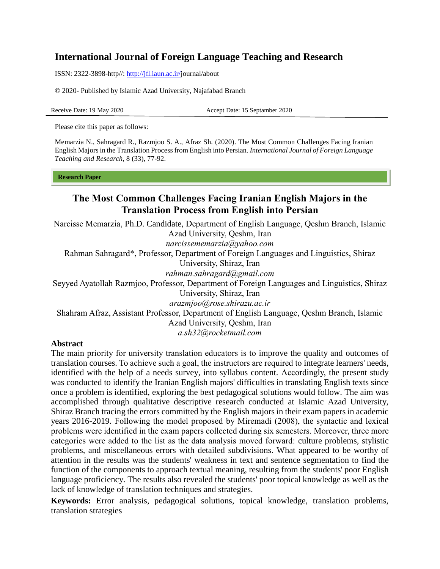# **International Journal of Foreign Language Teaching and Research**

ISSN: 2322-3898-http//: [http://jfl.iaun.ac.ir/j](http://jfl.iaun.ac.ir/)ournal/about

© 2020- Published by Islamic Azad University, Najafabad Branch

Receive Date: 19 May 2020 Accept Date: 15 Septamber 2020

Please cite this paper as follows:

Memarzia N., Sahragard R., Razmjoo S. A., Afraz Sh. (2020). The Most Common Challenges Facing Iranian English Majors in the Translation Process from English into Persian. *International Journal of Foreign Language Teaching and Research,* 8 (33), 77-92.

#### **Research Paper**

# **The Most Common Challenges Facing Iranian English Majors in the Translation Process from English into Persian**

Narcisse Memarzia, Ph.D. Candidate, Department of English Language, Qeshm Branch, Islamic Azad University, Qeshm, Iran *[narcissememarzia@yahoo.com](mailto:narcissememarzia@yahoo.com)* Rahman Sahragard\*, Professor, Department of Foreign Languages and Linguistics, Shiraz University, Shiraz, Iran *rahman.sahragard@gmail.com* Seyyed Ayatollah Razmjoo, Professor, Department of Foreign Languages and Linguistics, Shiraz University, Shiraz, Iran *[arazmjoo@rose.shirazu.ac.ir](mailto:arazmjoo@rose.shirazu.ac.ir)* Shahram Afraz, Assistant Professor, Department of English Language, Qeshm Branch, Islamic Azad University, Qeshm, Iran

*[a.sh32@rocketmail.com](mailto:a.sh32@rocketmail.com)*

#### **Abstract**

The main priority for university translation educators is to improve the quality and outcomes of translation courses. To achieve such a goal, the instructors are required to integrate learners' needs, identified with the help of a needs survey, into syllabus content. Accordingly, the present study was conducted to identify the Iranian English majors' difficulties in translating English texts since once a problem is identified, exploring the best pedagogical solutions would follow. The aim was accomplished through qualitative descriptive research conducted at Islamic Azad University, Shiraz Branch tracing the errors committed by the English majors in their exam papers in academic years 2016-2019. Following the model proposed by Miremadi (2008), the syntactic and lexical problems were identified in the exam papers collected during six semesters. Moreover, three more categories were added to the list as the data analysis moved forward: culture problems, stylistic problems, and miscellaneous errors with detailed subdivisions. What appeared to be worthy of attention in the results was the students' weakness in text and sentence segmentation to find the function of the components to approach textual meaning, resulting from the students' poor English language proficiency. The results also revealed the students' poor topical knowledge as well as the lack of knowledge of translation techniques and strategies.

**Keywords:** Error analysis, pedagogical solutions, topical knowledge, translation problems, translation strategies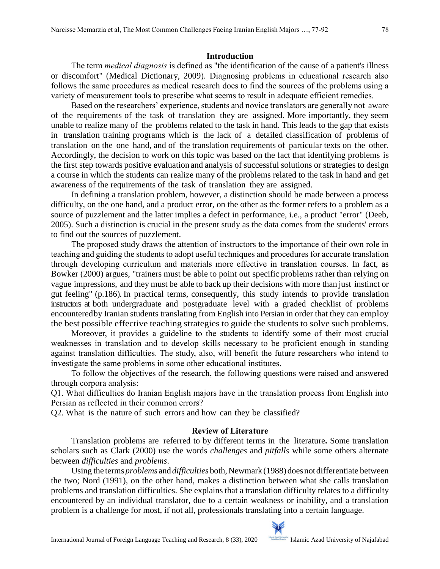### **Introduction**

The term *medical diagnosis* is defined as "the identification of the cause of a patient's illness or discomfort" (Medical Dictionary, 2009). Diagnosing problems in educational research also follows the same procedures as medical research does to find the sources of the problems using a variety of measurement tools to prescribe what seems to result in adequate efficient remedies.

Based on the researchers' experience, students and novice translators are generally not aware of the requirements of the task of translation they are assigned. More importantly, they seem unable to realize many of the problems related to the task in hand. This leads to the gap that exists in translation training programs which is the lack of a detailed classification of problems of translation on the one hand, and of the translation requirements of particular texts on the other. Accordingly, the decision to work on this topic was based on the fact that identifying problems is the first step towards positive evaluation and analysis of successful solutions or strategies to design a course in which the students can realize many of the problems related to the task in hand and get awareness of the requirements of the task of translation they are assigned.

In defining a translation problem, however, a distinction should be made between a process difficulty, on the one hand, and a product error, on the other as the former refers to a problem as a source of puzzlement and the latter implies a defect in performance, i.e., a product "error" (Deeb, 2005). Such a distinction is crucial in the present study as the data comes from the students' errors to find out the sources of puzzlement.

The proposed study draws the attention of instructors to the importance of their own role in teaching and guiding the students to adopt useful techniques and procedures for accurate translation through developing curriculum and materials more effective in translation courses. In fact, as Bowker (2000) argues, "trainers must be able to point out specific problems rather than relying on vague impressions, and they must be able to back up their decisions with more than just instinct or gut feeling" (p.186). In practical terms, consequently, this study intends to provide translation instructors at both undergraduate and postgraduate level with a graded checklist of problems encounteredby Iranian students translating from English into Persian in order that they can employ the best possible effective teaching strategies to guide the students to solve such problems.

Moreover, it provides a guideline to the students to identify some of their most crucial weaknesses in translation and to develop skills necessary to be proficient enough in standing against translation difficulties. The study, also, will benefit the future researchers who intend to investigate the same problems in some other educational institutes.

To follow the objectives of the research, the following questions were raised and answered through corpora analysis:

Q1. What difficulties do Iranian English majors have in the translation process from English into Persian as reflected in their common errors?

Q2. What is the nature of such errors and how can they be classified?

# **Review of Literature**

Translation problems are referred to by different terms in the literature**.** Some translation scholars such as Clark (2000) use the words *challenges* and *pitfalls* while some others alternate between *difficulties* and *problems*.

Using the terms *problems* and *difficulties* both, Newmark (1988) does not differentiate between the two; Nord (1991), on the other hand, makes a distinction between what she calls translation problems and translation difficulties. She explains that a translation difficulty relates to a difficulty encountered by an individual translator, due to a certain weakness or inability, and a translation problem is a challenge for most, if not all, professionals translating into a certain language.

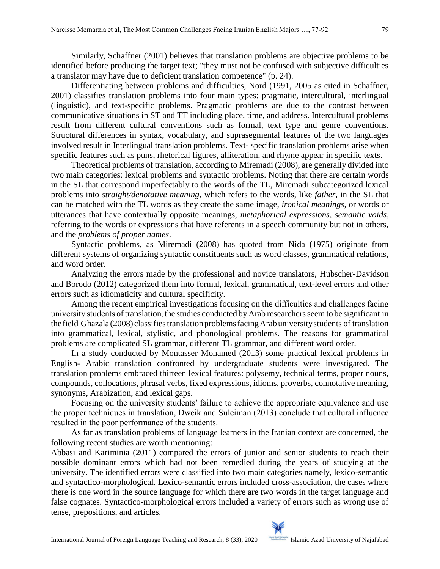Similarly, Schaffner (2001) believes that translation problems are objective problems to be identified before producing the target text; "they must not be confused with subjective difficulties a translator may have due to deficient translation competence" (p. 24).

Differentiating between problems and difficulties, Nord (1991, 2005 as cited in Schaffner, 2001) classifies translation problems into four main types: pragmatic, intercultural, interlingual (linguistic), and text-specific problems. Pragmatic problems are due to the contrast between communicative situations in ST and TT including place, time, and address. Intercultural problems result from different cultural conventions such as formal, text type and genre conventions. Structural differences in syntax, vocabulary, and suprasegmental features of the two languages involved result in Interlingual translation problems. Text- specific translation problems arise when specific features such as puns, rhetorical figures, alliteration, and rhyme appear in specific texts.

Theoretical problems of translation, according to Miremadi (2008), are generally divided into two main categories: lexical problems and syntactic problems. Noting that there are certain words in the SL that correspond imperfectably to the words of the TL, Miremadi subcategorized lexical problems into *straight/denotative meaning*, which refers to the words, like *father*, in the SL that can be matched with the TL words as they create the same image, *ironical meanings*, or words or utterances that have contextually opposite meanings, *metaphorical expressions*, *semantic voids*, referring to the words or expressions that have referents in a speech community but not in others, and the *problems of proper names*.

Syntactic problems, as Miremadi (2008) has quoted from Nida (1975) originate from different systems of organizing syntactic constituents such as word classes, grammatical relations, and word order.

Analyzing the errors made by the professional and novice translators, Hubscher-Davidson and Borodo (2012) categorized them into formal, lexical, grammatical, text-level errors and other errors such as idiomaticity and cultural specificity.

Among the recent empirical investigations focusing on the difficulties and challenges facing university students of translation, the studies conducted by Arab researchers seem to be significant in the field. Ghazala (2008) classifies translation problems facing Arab university students of translation into grammatical, lexical, stylistic, and phonological problems. The reasons for grammatical problems are complicated SL grammar, different TL grammar, and different word order.

In a study conducted by Montasser Mohamed (2013) some practical lexical problems in English- Arabic translation confronted by undergraduate students were investigated. The translation problems embraced thirteen lexical features: polysemy, technical terms, proper nouns, compounds, collocations, phrasal verbs, fixed expressions, idioms, proverbs, connotative meaning, synonyms, Arabization, and lexical gaps.

Focusing on the university students' failure to achieve the appropriate equivalence and use the proper techniques in translation, Dweik and Suleiman (2013) conclude that cultural influence resulted in the poor performance of the students.

As far as translation problems of language learners in the Iranian context are concerned, the following recent studies are worth mentioning:

Abbasi and Kariminia (2011) compared the errors of junior and senior students to reach their possible dominant errors which had not been remedied during the years of studying at the university. The identified errors were classified into two main categories namely, lexico-semantic and syntactico-morphological. Lexico-semantic errors included cross-association, the cases where there is one word in the source language for which there are two words in the target language and false cognates. Syntactico-morphological errors included a variety of errors such as wrong use of tense, prepositions, and articles.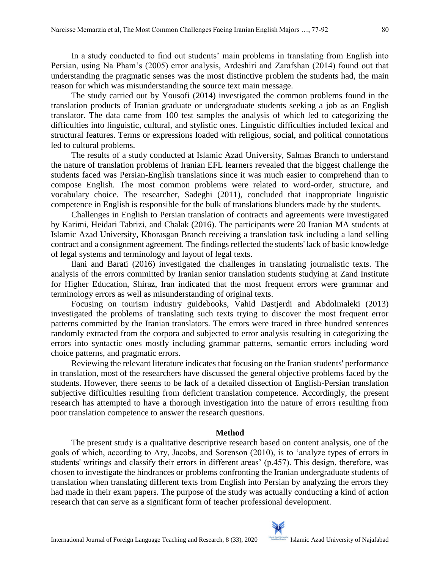In a study conducted to find out students' main problems in translating from English into Persian, using Na Pham's (2005) error analysis, Ardeshiri and Zarafshan (2014) found out that understanding the pragmatic senses was the most distinctive problem the students had, the main reason for which was misunderstanding the source text main message.

The study carried out by Yousofi (2014) investigated the common problems found in the translation products of Iranian graduate or undergraduate students seeking a job as an English translator. The data came from 100 test samples the analysis of which led to categorizing the difficulties into linguistic, cultural, and stylistic ones. Linguistic difficulties included lexical and structural features. Terms or expressions loaded with religious, social, and political connotations led to cultural problems.

The results of a study conducted at Islamic Azad University, Salmas Branch to understand the nature of translation problems of Iranian EFL learners revealed that the biggest challenge the students faced was Persian-English translations since it was much easier to comprehend than to compose English. The most common problems were related to word-order, structure, and vocabulary choice. The researcher, Sadeghi (2011), concluded that inappropriate linguistic competence in English is responsible for the bulk of translations blunders made by the students.

Challenges in English to Persian translation of contracts and agreements were investigated by Karimi, Heidari Tabrizi, and Chalak (2016). The participants were 20 Iranian MA students at Islamic Azad University, Khorasgan Branch receiving a translation task including a land selling contract and a consignment agreement. The findings reflected the students' lack of basic knowledge of legal systems and terminology and layout of legal texts.

Ilani and Barati (2016) investigated the challenges in translating journalistic texts. The analysis of the errors committed by Iranian senior translation students studying at Zand Institute for Higher Education, Shiraz, Iran indicated that the most frequent errors were grammar and terminology errors as well as misunderstanding of original texts.

Focusing on tourism industry guidebooks, Vahid Dastjerdi and Abdolmaleki (2013) investigated the problems of translating such texts trying to discover the most frequent error patterns committed by the Iranian translators. The errors were traced in three hundred sentences randomly extracted from the corpora and subjected to error analysis resulting in categorizing the errors into syntactic ones mostly including grammar patterns, semantic errors including word choice patterns, and pragmatic errors.

Reviewing the relevant literature indicates that focusing on the Iranian students' performance in translation, most of the researchers have discussed the general objective problems faced by the students. However, there seems to be lack of a detailed dissection of English-Persian translation subjective difficulties resulting from deficient translation competence. Accordingly, the present research has attempted to have a thorough investigation into the nature of errors resulting from poor translation competence to answer the research questions.

#### **Method**

The present study is a qualitative descriptive research based on content analysis, one of the goals of which, according to Ary, Jacobs, and Sorenson (2010), is to 'analyze types of errors in students' writings and classify their errors in different areas' (p.457). This design, therefore, was chosen to investigate the hindrances or problems confronting the Iranian undergraduate students of translation when translating different texts from English into Persian by analyzing the errors they had made in their exam papers. The purpose of the study was actually conducting a kind of action research that can serve as a significant form of teacher professional development.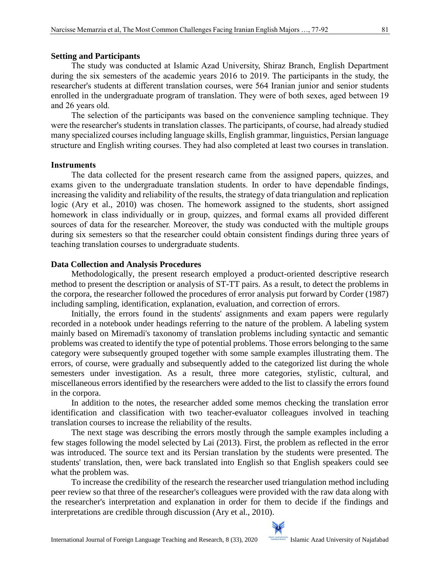#### **Setting and Participants**

The study was conducted at Islamic Azad University, Shiraz Branch, English Department during the six semesters of the academic years 2016 to 2019. The participants in the study, the researcher's students at different translation courses, were 564 Iranian junior and senior students enrolled in the undergraduate program of translation. They were of both sexes, aged between 19 and 26 years old.

The selection of the participants was based on the convenience sampling technique. They were the researcher's students in translation classes. The participants, of course, had already studied many specialized courses including language skills, English grammar, linguistics, Persian language structure and English writing courses. They had also completed at least two courses in translation.

#### **Instruments**

The data collected for the present research came from the assigned papers, quizzes, and exams given to the undergraduate translation students. In order to have dependable findings, increasing the validity and reliability of the results, the strategy of data triangulation and replication logic (Ary et al., 2010) was chosen. The homework assigned to the students, short assigned homework in class individually or in group, quizzes, and formal exams all provided different sources of data for the researcher. Moreover, the study was conducted with the multiple groups during six semesters so that the researcher could obtain consistent findings during three years of teaching translation courses to undergraduate students.

#### **Data Collection and Analysis Procedures**

Methodologically, the present research employed a product-oriented descriptive research method to present the description or analysis of ST-TT pairs. As a result, to detect the problems in the corpora, the researcher followed the procedures of error analysis put forward by Corder (1987) including sampling, identification, explanation, evaluation, and correction of errors.

Initially, the errors found in the students' assignments and exam papers were regularly recorded in a notebook under headings referring to the nature of the problem. A labeling system mainly based on Miremadi's taxonomy of translation problems including syntactic and semantic problems was created to identify the type of potential problems. Those errors belonging to the same category were subsequently grouped together with some sample examples illustrating them. The errors, of course, were gradually and subsequently added to the categorized list during the whole semesters under investigation. As a result, three more categories, stylistic, cultural, and miscellaneous errors identified by the researchers were added to the list to classify the errors found in the corpora.

In addition to the notes, the researcher added some memos checking the translation error identification and classification with two teacher-evaluator colleagues involved in teaching translation courses to increase the reliability of the results.

The next stage was describing the errors mostly through the sample examples including a few stages following the model selected by Lai (2013). First, the problem as reflected in the error was introduced. The source text and its Persian translation by the students were presented. The students' translation, then, were back translated into English so that English speakers could see what the problem was.

To increase the credibility of the research the researcher used triangulation method including peer review so that three of the researcher's colleagues were provided with the raw data along with the researcher's interpretation and explanation in order for them to decide if the findings and interpretations are credible through discussion (Ary et al., 2010).

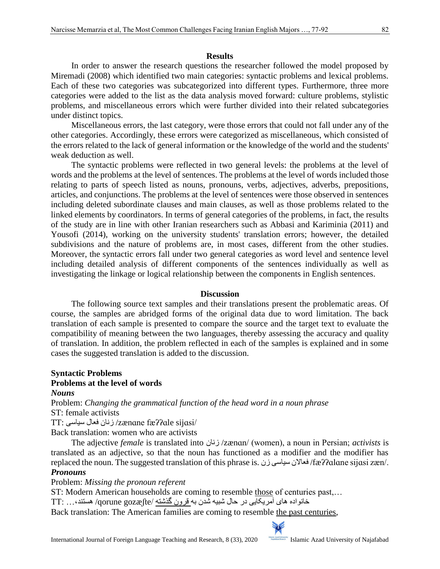In order to answer the research questions the researcher followed the model proposed by Miremadi (2008) which identified two main categories: syntactic problems and lexical problems. Each of these two categories was subcategorized into different types. Furthermore, three more categories were added to the list as the data analysis moved forward: culture problems, stylistic problems, and miscellaneous errors which were further divided into their related subcategories under distinct topics.

Miscellaneous errors, the last category, were those errors that could not fall under any of the other categories. Accordingly, these errors were categorized as miscellaneous, which consisted of the errors related to the lack of general information or the knowledge of the world and the students' weak deduction as well.

The syntactic problems were reflected in two general levels: the problems at the level of words and the problems at the level of sentences. The problems at the level of words included those relating to parts of speech listed as nouns, pronouns, verbs, adjectives, adverbs, prepositions, articles, and conjunctions. The problems at the level of sentences were those observed in sentences including deleted subordinate clauses and main clauses, as well as those problems related to the linked elements by coordinators. In terms of general categories of the problems, in fact, the results of the study are in line with other Iranian researchers such as Abbasi and Kariminia (2011) and Yousofi (2014), working on the university students' translation errors; however, the detailed subdivisions and the nature of problems are, in most cases, different from the other studies. Moreover, the syntactic errors fall under two general categories as word level and sentence level including detailed analysis of different components of the sentences individually as well as investigating the linkage or logical relationship between the components in English sentences.

#### **Discussion**

The following source text samples and their translations present the problematic areas. Of course, the samples are abridged forms of the original data due to word limitation. The back translation of each sample is presented to compare the source and the target text to evaluate the compatibility of meaning between the two languages, thereby assessing the accuracy and quality of translation. In addition, the problem reflected in each of the samples is explained and in some cases the suggested translation is added to the discussion.

#### **Syntactic Problems Problems at the level of words** *Nouns*

Problem: *Changing the grammatical function of the head word in a noun phrase* ST: female activists

TT: سیاسی فعال زنان /zænɑne f[æʔʔ](http://en.wikipedia.org/wiki/Glottal_stop)ɑle sijɑsi/

Back translation: women who are activists

The adjective *female* is translated into زنان /zænɑn/ (women), a noun in Persian; *activists* is translated as an adjective, so that the noun has functioned as a modifier and the modifier has replaced the noun. The suggested translation of this phrase is. زن سیاسی فعاالن /f[æʔʔɑ](http://en.wikipedia.org/wiki/Glottal_stop)lɑne sijɑsi zæn/.

### *Pronouns*

Problem: *Missing the pronoun referent*

ST: Modern American households are coming to resemble those of centuries past,…

خانواده های آمریکایی در حال شبیه شدن به قرون گذشته /gozæʃte qorune/ هستند،... :TT

Back translation: The American families are coming to resemble the past centuries,

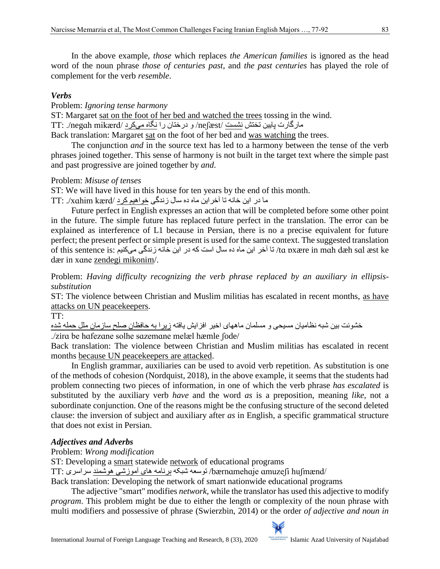In the above example, *those* which replaces *the American families* is ignored as the head word of the noun phrase *those of centuries past*, and *the past centuries* has played the role of complement for the verb *resemble*.

# *Verbs*

Problem: *Ignoring tense harmony*

ST: Margaret sat on the foot of her bed and watched the trees tossing in the wind.

مارگارت پایین تختش نشست /neʃæst/ و درختان را نگاه میکرد /mikærd negɑh./ :TT

Back translation: Margaret sat on the foot of her bed and was watching the trees.

The conjunction *and* in the source text has led to a harmony between the tense of the verb phrases joined together. This sense of harmony is not built in the target text where the simple past and past progressive are joined together by *and*.

### Problem: *Misuse of tenses*

ST: We will have lived in this house for ten years by the end of this month.

ما در این خانه تا آخر این ماه ده سال زندگی خواهیم کرد /xɑhim kærd/ :

Future perfect in English expresses an action that will be completed before some other point in the future. The simple future has replaced future perfect in the translation. The error can be explained as interference of L1 because in Persian, there is no a precise equivalent for future perfect; the present perfect or simple present is used for the same context. The suggested translation  $\alpha$ ra pxære in mah dæh sal [æs](http://en.wikipedia.org/wiki/Near-open_front_unrounded_vowel)t ke اخر این ماه ده سال است که در این خانه زندگی میکنیم : $\alpha$  pxære in mah [dæh](http://en.wikipedia.org/wiki/Near-open_front_unrounded_vowel) sal æst ke [dær](http://en.wikipedia.org/wiki/Near-open_front_unrounded_vowel) in xɑne zendegi mikonim/.

Problem: *Having difficulty recognizing the verb phrase replaced by an auxiliary in ellipsissubstitution*

ST: The violence between Christian and Muslim militias has escalated in recent months, as have attacks on UN peacekeepers.

TT:

خشونت بین شبه نظامیان مسیحی و مسلمان ماههای اخیر افزایش یافته زیرا به حافظان صلح سازمان ملل حمله شده

./zirɑ be hɑfezɑne solhe sɑzemɑne melæl hæmle ʃode/

Back translation: The violence between Christian and Muslim militias has escalated in recent months because UN peacekeepers are attacked.

In English grammar, auxiliaries can be used to avoid verb repetition. As substitution is one of the methods of [cohesion](https://www.thoughtco.com/what-is-cohesion-composition-1689863) (Nordquist, 2018), in the above example, it seems that the students had problem connecting two pieces of information, in one of which the verb phrase *has escalated* is substituted by the auxiliary verb *have* and the word *as* is a preposition, meaning *like,* not a subordinate conjunction. One of the reasons might be the confusing structure of the second deleted clause: the inversion of subject and auxiliary after *as* in English, a specific grammatical structure that does not exist in Persian.

# *Adjectives and Adverbs*

# Problem: *Wrong modification*

ST: Developing a smart statewide network of educational programs

/huʃmænd ɑmuzeʃi bærnɑmehɑje/ توسعه شبکه برنامه های آموزشی هوشمند سراسری :TT

Back translation: Developing the network of smart nationwide educational programs

The adjective "smart" modifies *network*, while the translator has used this adjective to modify *program*. This problem might be due to either the length or complexity of the noun phrase with multi modifiers and possessive of phrase (Swierzbin, 2014) or the order *of adjective and noun in* 

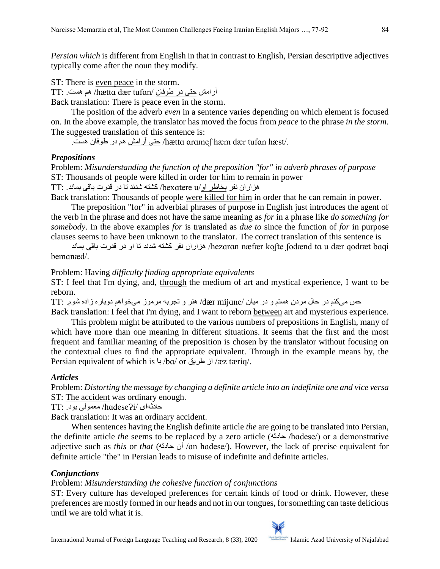*Persian which* is different from English in that in contrast to English, Persian descriptive [adjectives](https://www.thoughtco.com/what-is-adjective-clause-1689064) typically come after the [noun](https://www.thoughtco.com/noun-spanish-basics-3079279) they modify.

ST: There is even peace in the storm.

آرامش حتی در طوفان /tufɑn dær hættɑ/ هم هست. :TT

Back translation: There is peace even in the storm.

The position of the adverb *even* in a sentence varies depending on which element is focused on. In the above example, the translator has moved the focus from *peace* to the phrase *in the storm*. The suggested translation of this sentence is:

/.hæst tufɑn dær hæm ɑrɑmeʃ hættɑ/ حتی آرامش هم در طوفان هست.

# *Prepositions*

Problem: *Misunderstanding the function of the preposition "for" in adverb phrases of purpose* ST: Thousands of people were killed in order for him to remain in power هزاران نفر بخاطر او/u bexɑtere/ کشته شدند تا در قدرت باقی بماند. :TT

Back translation: Thousands of people were killed for him in order that he can remain in power.

The preposition "for" in adverbial phrases of purpose in English just introduces the agent of the verb in the phrase and does not have the same meaning as *for* in a phrase like *do something for somebody*. In the above examples *for* is translated as *due to* since the function of *for* in purpose clauses seems to have been unknown to the translator. The correct translation of this sentence is

 bɑqi qodræt dær u tɑ ʃodænd koʃte næfær hezɑrɑn/ هزاران نفر کشته شدند تا او در قدرت باقی بماند bemɑnæd/.

### Problem: Having *difficulty finding appropriate equivalents*

ST: I feel that I'm dying, and, through the medium of art and mystical experience, I want to be reborn.

حس میکنم در حال مردن هستم و در میان /mijɑne dær/ هنر و تجربه مرموز میخواهم دوباره زاده شوم. :TT Back translation: I feel that I'm dying, and I want to reborn between art and mysterious experience.

This problem might be attributed to the various numbers of prepositions in English, many of which have more than one meaning in different situations. It seems that the first and the most frequent and familiar meaning of the preposition is chosen by the translator without focusing on the contextual clues to find the appropriate equivalent. Through in the example means by, the Persian equivalent of which is باز طریق /bɑ/ or با /æz tæriq/.

# *Articles*

Problem: *Distorting the message by changing a definite article into an indefinite one and vice versa* ST: The accident was ordinary enough.

حادثهای /hɑdeseɁi/ معمولی بود. :TT

Back translation: It was an ordinary accident.

When sentences having the English definite article *the* are going to be translated into Persian, the definite article *the* seems to be replaced by a zero article (حادثه /hɑdese/) or a demonstrative adjective such as *this* or *that* (حادثه آن /ɑn hɑdese/). However, the lack of precise equivalent for definite article "the" in Persian leads to misuse of indefinite and definite articles.

# *Conjunctions*

# Problem: *Misunderstanding the cohesive function of conjunctions*

ST: Every culture has developed preferences for certain kinds of food or drink. However, these preferences are mostly formed in our heads and not in our tongues, forsomething can taste delicious until we are told what it is.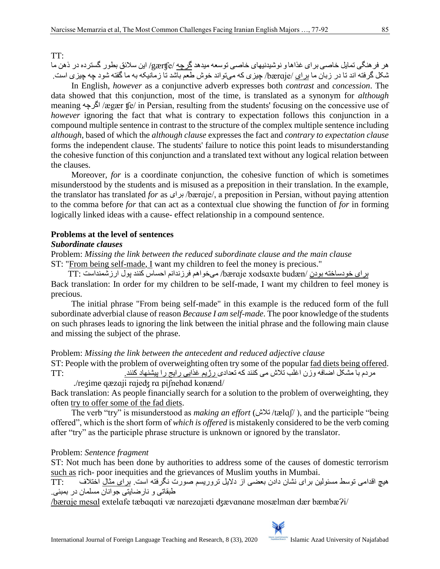#### TT:

هر فرهنگی تمایل خاصی برای غذاها و نوشیدنیهای خاصی توسعه میدهد گرچه /gærʧe/ این سالئق بطور گسترده در ذهن ما شکل گرفته اند تا در زبان ما برای /bærɑje/ چیزی که میتواند خوش طعم باشد تا زمانیکه به ما گفته شود چه چیزی است.

In English, *however* as a conjunctive adverb expresses both *contrast* and *concession*. The data showed that this conjunction, most of the time, is translated as a synonym for *although* meaning اگرچه /ægær ʧe/ in Persian, resulting from the students' focusing on the concessive use of *however* ignoring the fact that what is contrary to expectation follows this conjunction in a compound multiple sentence in contrast to the structure of the complex multiple sentence including *although*, based of which the *although clause* expresses the fact and *contrary to expectation clause* forms the independent clause. The students' failure to notice this point leads to misunderstanding the cohesive function of this conjunction and a translated text without any logical relation between the clauses.

Moreover, *for* is a coordinate conjunction, the cohesive function of which is sometimes misunderstood by the students and is misused as a preposition in their translation. In the example, the translator has translated *for* as برای /bærɑje/, a preposition in Persian, without paying attention to the comma before *for* that can act as a contextual clue showing the function of *for* in forming logically linked ideas with a cause- effect relationship in a compound sentence.

#### **Problems at the level of sentences**

#### *Subordinate clauses*

Problem: *Missing the link between the reduced subordinate clause and the main clause* ST: "From being self-made, I want my children to feel the money is precious."

برای خودساخته بودن /budæn xodsɑxte bærɑje/ میخواهم فرزندانم احساس کنند پول ارزشمنداست :TT Back translation: In order for my children to be self-made, I want my children to feel money is precious.

The initial phrase "From being self-made" in this example is the reduced form of the full subordinate adverbial clause of reason *Because I am self-made*. The poor knowledge of the students on such phrases leads to ignoring the link between the initial phrase and the following main clause and missing the subject of the phrase.

#### Problem: *Missing the link between the antecedent and reduced adjective clause*

ST: People with the problem of overweighting often try some of the popular fad diets being offered. مردم با مشکل اضافه وزن اغلب تالش می کنند که تعدادی رژیم غذایی رایج را پیشنهاد کنند. :TT

./reʒime qæzɑji rɑjeʤ rɑ piʃnehɑd konænd/

Back translation: As people financially search for a solution to the problem of overweighting, they often try to offer some of the fad diets.

The verb "try" is misunderstood as *making an effort* (تالش /tælɑʃ/ (, and the participle "being offered", which is the short form of *which is offered* is mistakenly considered to be the verb coming after "try" as the participle phrase structure is unknown or ignored by the translator.

#### Problem: *Sentence fragment*

ST: Not much has been done by authorities to address some of the causes of domestic terrorism such as rich- poor inequities and the grievances of Muslim youths in Mumbai.

هیچ اقدامی توسط مسئولین برای نشان دادن بعضی از دالیل تروریسم صورت نگرفته است. برای مثال اختالف :TT طبقاتی و نارضایتی جوانان مسلمان در بمبئی.

/bærɑje mesɑl extelɑfe tæbɑqɑti væ nɑrezɑjæti ʤævɑnɑne mosælmɑn dær bæmbæɁi/

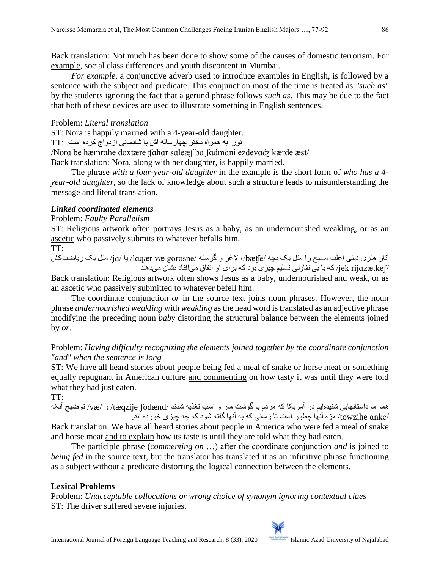Back translation: Not much has been done to show some of the causes of domestic terrorism. For example, social class differences and youth discontent in Mumbai.

*For example*, a conjunctive adverb used to introduce examples in English, is followed by a sentence with the subject and predicate. This conjunction most of the time is treated as *"such as"* by the students ignoring the fact that a gerund phrase follows *such as*. This may be due to the fact that both of these devices are used to illustrate something in English sentences.

# Problem: *Literal translation*

ST: Nora is happily married with a 4-year-old daughter.

نورا به همراه دختر چهارساله اش با شادمانی ازدواج کرده است. :TT

/Norɑ be hæmrɑhe doxtære ʧɑhɑr sɑleæʃ bɑ ʃɑdmɑni ezdevɑʤ kærde æst/ Back translation: Nora, along with her daughter, is happily married.

The phrase *with a four-year-old daughter* in the example is the short form of *who has a 4 year-old daughter*, so the lack of knowledge about such a structure leads to misunderstanding the message and literal translation.

# *Linked coordinated elements*

# Problem: *Faulty Parallelism*

ST: Religious artwork often portrays Jesus as a baby, as an undernourished weakling, or as an ascetic who passively submits to whatever befalls him.

### TT:

آثار هنری دینی اغلب مسیح را مثل یک بچه /bæʧe،/ الغر و گرسنه /gorosne væ lɑqær/ یا /jɑ/ مثل یک ریاضتکش /rijɑzætkeʃ jek/ که با بی تفاوتی تسلیم چیزی بود که برای او اتفاق میافتاد نشان میدهند

Back translation: Religious artwork often shows Jesus as a baby, undernourished and weak, or as an ascetic who passively submitted to whatever befell him.

The coordinate conjunction *or* in the source text joins noun phrases. However, the noun phrase *undernourished weakling* with *weakling* as the head word is translated as an adjective phrase modifying the preceding noun *baby* distorting the structural balance between the elements joined by *or*.

# Problem: *Having difficulty recognizing the elements joined together by the coordinate conjunction "and" when the sentence is long*

ST: We have all heard stories about people being fed a meal of snake or horse meat or something equally repugnant in American culture and commenting on how tasty it was until they were told what they had just eaten.

TT:

همه ما داستانهایی شنیدهایم در آمریکا که مردم با گوشت مار و اسب تغذیه شدند /ʃodænd tæqzije/ و /væ/ توضیح آنکه /ɑnke towzihe/ مزه آنها چطور است تا زمانی که به آنها گفته شود که چه چیزی خورده اند.

Back translation: We have all heard stories about people in America who were fed a meal of snake and horse meat and to explain how its taste is until they are told what they had eaten.

The participle phrase (*commenting on* …) after the coordinate conjunction *and* is joined to *being fed* in the source text, but the translator has translated it as an infinitive phrase functioning as a subject without a predicate distorting the logical connection between the elements.

# **Lexical Problems**

Problem: *Unacceptable collocations or wrong choice of synonym ignoring contextual clues* ST: The driver suffered severe injuries.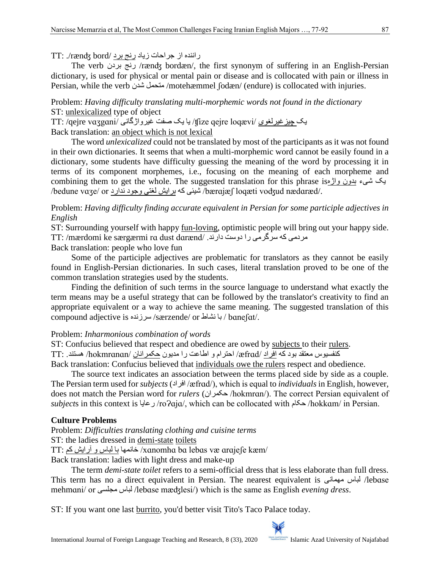راننده از جراحات زیاد رنج برد /bord rænʤ./ :TT

The verb بردن رنج /rænʤ bordæn/, the first synonym of suffering in an English-Persian dictionary, is used for physical or mental pain or disease and is collocated with pain or illness in Persian, while the verb شدن متحمل /motehæmmel ʃodæn/ (endure) is collocated with injuries.

Problem: *Having difficulty translating multi-morphemic words not found in the dictionary* ST: unlexicalized type of object

یک چیز غیرلغوی /ŋ̃ize qejre loqævi/ یا یک صفت غیرواژگانی /TT: /qejre vaʒgɑni

Back translation: an object which is not lexical

The word *unlexicalized* could not be translated by most of the participants as it was not found in their own dictionaries. It seems that when a multi-morphemic word cannot be easily found in a dictionary, some students have difficulty guessing the meaning of the word by processing it in terms of its component morphemes, i.e., focusing on the meaning of each morpheme and combining them to get the whole. The suggested translation for this phrase isواژه بدون شیء یک /bedune vɑʒe/ or ندارد وجود لغتی برایش که شیئی /bærɑjæʃ loqæti voʤud nædɑræd/.

Problem: *Having difficulty finding accurate equivalent in Persian for some participle adjectives in English* 

ST: Surrounding yourself with happy <u>fun-loving</u>, optimistic people will bring out your happy side. TT: /mærdomi ke særgærmi rɑ dust dɑrænd/ .دارند دوست را سرگرمی که مردمی

Back translation: people who love fun

Some of the participle adjectives are problematic for translators as they cannot be easily found in English-Persian dictionaries. In such cases, literal translation proved to be one of the common translation strategies used by the students.

Finding the definition of such terms in the source language to understand what exactly the term means may be a useful strategy that can be followed by the translator's creativity to find an appropriate equivalent or a way to achieve the same meaning. The suggested translation of this compound adjective is سرزنده /særzende/ or نشاط با / bɑneʃɑt/.

# Problem: *Inharmonious combination of words*

ST: Confucius believed that respect and obedience are owed by subjects to their rulers. کنفسیوس معتقد بود که افراد /æfrɑd/ احترام و اطاعت را مدیون حکمرانان /hokmrɑnɑn/ هستند. :TT Back translation: Confucius believed that individuals owe the rulers respect and obedience.

The source text indicates an association between the terms placed side by side as a couple. The Persian term used for *subjects* (افراد /æfrɑd/), which is equal to *individuals* in English, however, does not match the Persian word for *rulers* (حکمران /hokmrɑn/). The correct Persian equivalent of *subject*s in this context is رعایا /roɁɑjɑ/, which can be collocated with حکام /hokkɑm/ in Persian.

# **Culture Problems**

Problem: *Difficulties translating clothing and cuisine terms* ST: the ladies dressed in demi-state toilets TT: کم آرایش و لباس با خانمها /xɑnomhɑ bɑ lebɑs væ ɑrɑjeʃe kæm/

Back translation: ladies with light dress and make-up

The term *demi-state toilet* refers to a semi-official dress that is less elaborate than full dress. This term has no a direct equivalent in Persian. The nearest equivalent is مهمانی لباس /lebɑse mehmɑni/ or مجلسی لباس /lebɑse mæʤlesi/) which is the same as English *evening dress*.

ST: If you want one last burrito, you'd better visit Tito's Taco Palace today.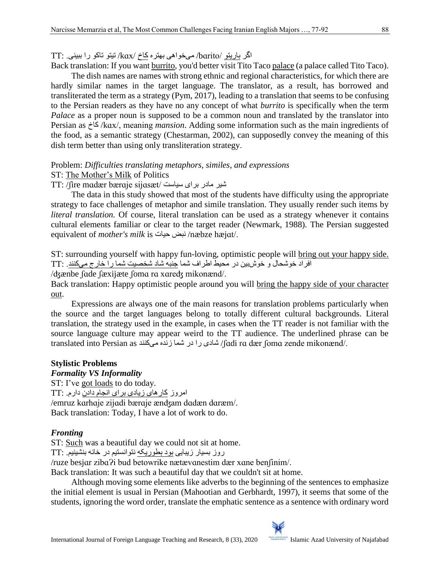اگر باریتو /bɑrito/ میخواهی بهتره کاخ /kɑx/ تیتو تاکو را ببینی. :TT

Back translation: If you want burrito, you'd better visit Tito Taco palace (a palace called Tito Taco). The dish names are names with strong ethnic and regional characteristics, for which there are hardly similar names in the target language. The translator, as a result, has borrowed and transliterated the term as a strategy (Pym, 2017), leading to a translation that seems to be confusing to the Persian readers as they have no any concept of what *burrito* is specifically when the term *Palace* as a proper noun is supposed to be a common noun and translated by the translator into Persian as کاخ /kɑx/, meaning *mansion*. Adding some information such as the main ingredients of the food, as a semantic strategy (Chestarman, 2002), can supposedly convey the meaning of this dish term better than using only transliteration strategy.

Problem: *Difficulties translating metaphors, similes*, *and expressions*

ST: The Mother's Milk of Politics

TT: /ʃire mɑdær bærɑje sijɑsæt/ سیاست برای مادر شیر

The data in this study showed that most of the students have difficulty using the appropriate strategy to face challenges of metaphor and simile translation. They usually render such items by *literal translation.* Of course, literal translation can be used as a strategy whenever it contains cultural elements familiar or clear to the target reader (Newmark, 1988). The Persian suggested equivalent of *mother's milk* is حیات نبض /næbze hæjɑt/.

ST: surrounding yourself with happy fun-loving, optimistic people will bring out your happy side. افراد خوشحال و خوشبین در محیط اطراف شما جنبه شاد شخصیت شما را خارج میکنند. :TT

/ʤænbe ʃɑde ʃæxijæte ʃomɑ rɑ xɑreʤ mikonænd/.

Back translation: Happy optimistic people around you will bring the happy side of your character out.

Expressions are always one of the main reasons for translation problems particularly when the source and the target languages belong to totally different cultural backgrounds. Literal translation, the strategy used in the example, in cases when the TT reader is not familiar with the source language culture may appear weird to the TT audience. The underlined phrase can be translated into Persian as میکنند زنده شما در را شادی /ʃɑdi rɑ dær ʃomɑ zende mikonænd/.

### **Stylistic Problems**

### *Formality VS Informality*

ST: I've [got](https://www.macmillandictionary.com/dictionary/british/got_1) [loads](https://www.macmillandictionary.com/dictionary/british/load_1) to do [today.](https://www.macmillandictionary.com/dictionary/british/today_1) امروز کارهای زیادی برای انجام دادن دارم. :TT /emruz kɑrhɑje zijɑdi bærɑje ænʤam dɑdæn dɑræm/. Back translation: Today, I have a lot of work to do.

# *Fronting*

ST: Such was a beautiful day we could not sit at home.

روز بسیار زیبایی بود بطوریکه نتوانستیم در خانه بنشینیم. :TT

/ruze besjɑr zibɑɁi bud betowrike nætævɑnestim dær xɑne benʃinim/.

Back translation: It was such a beautiful day that we couldn't sit at home.

Although moving some elements like adverbs to the beginning of the sentences to emphasize the initial element is usual in Persian (Mahootian and Gerbhardt, 1997), it seems that some of the students, ignoring the word order, translate the emphatic sentence as a sentence with ordinary word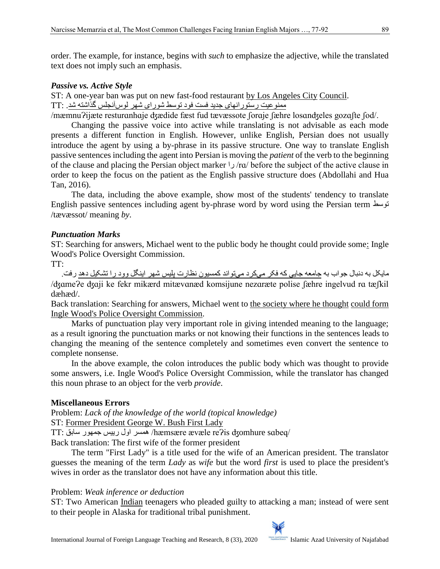order. The example, for instance, begins with *such* to emphasize the adjective, while the translated text does not imply such an emphasis.

### *Passive vs. Active Style*

ST: A one-year ban was put on new fast-food restaurant by Los Angeles City Council. ممنوعیت رستورانهای جدید فست فود توسط شورای شهر لوسآنجلس گذاشته شد. :TT

/mæmnuɁijæte resturɑnhɑje ʤædide fæst fud tævæssote ʃorɑje ʃæhre losɑnʤeles gozɑʃte ʃod/.

Changing the passive voice into active while translating is not advisable as each mode presents a different function in English. However, unlike English, Persian does not usually introduce the agent by using a by-phrase in its passive structure. One way to translate English passive sentences including the agent into Persian is moving the *patient* of the verb to the beginning of the clause and placing the Persian object marker را /rɑ/ before the subject of the active clause in order to keep the focus on the patient as the English passive structure does (Abdollahi and Hua Tan, 2016).

The data, including the above example, show most of the students' tendency to translate English passive sentences including agent by-phrase word by word using the Persian term توسط /tævæssot/ meaning *by*.

### *Punctuation Marks*

ST: Searching for answers, Michael went to the public body he thought could provide some: Ingle Wood's Police Oversight Commission.

TT:

مایکل به دنبال جواب به جامعه جایی که فکر میکرد میتواند کمسیون نظارت پلیس شهر اینگل وود را تشکیل دهد رفت. /ʤɑmeɁe ʤɑji ke fekr mikærd mitævɑnæd komsijune nezɑræte polise ʃæhre ingelvud rɑ tæʃkil dæhæd/.

Back translation: Searching for answers, Michael went to the society where he thought could form Ingle Wood's Police Oversight Commission.

Marks of punctuation play very important role in giving intended meaning to the language; as a result ignoring the punctuation marks or not knowing their functions in the sentences leads to changing the meaning of the sentence completely and sometimes even convert the sentence to complete nonsense.

In the above example, the colon introduces the public body which was thought to provide some answers, i.e. Ingle Wood's Police Oversight Commission, while the translator has changed this noun phrase to an object for the verb *provide*.

### **Miscellaneous Errors**

Problem: *Lack of the knowledge of the world (topical knowledge)*

ST: Former President George W. Bush First Lady

TT: سابق جمهور رییس اول همسر /hæmsære ævæle reɁis ʤomhure sɑbeq/

Back translation: The first wife of the former president

The term "First Lady" is a title used for the wife of an American president. The translator guesses the meaning of the term *Lady* as *wife* but the word *first* is used to place the president's wives in order as the translator does not have any information about this title.

### Problem: *Weak inference or deduction*

ST: Two American Indian teenagers who pleaded guilty to attacking a man; instead of were sent to their people in Alaska for traditional tribal punishment.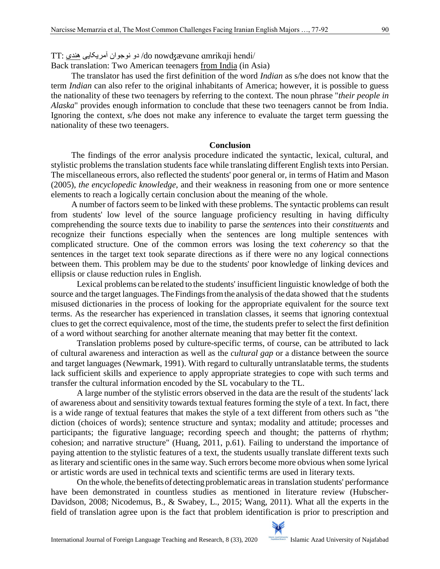TT: هندی آمریکایی نوجوان دو /do nowʤævɑne ɑmrikɑji hendi/

Back translation: Two American teenagers from India (in Asia)

The translator has used the first definition of the word *Indian* as s/he does not know that the term *Indian* can also refer to the original inhabitants of America; however, it is possible to guess the nationality of these two teenagers by referring to the context. The noun phrase "*their people in Alaska*" provides enough information to conclude that these two teenagers cannot be from India. Ignoring the context, s/he does not make any inference to evaluate the target term guessing the nationality of these two teenagers.

#### **Conclusion**

The findings of the error analysis procedure indicated the syntactic, lexical, cultural, and stylistic problems the translation students face while translating different English texts into Persian. The miscellaneous errors, also reflected the students' poor general or, in terms of Hatim and Mason (2005), *the encyclopedic knowledge*, and their weakness in reasoning from one or more sentence elements to reach a logically certain conclusion about the meaning of the whole.

A number of factors seem to be linked with these problems. The syntactic problems can result from students' low level of the source language proficiency resulting in having difficulty comprehending the source texts due to inability to parse the *sentence*s into their *constituents* and recognize their functions especially when the sentences are long multiple sentences with complicated structure. One of the common errors was losing the text *coherency* so that the sentences in the target text took separate directions as if there were no any logical connections between them. This problem may be due to the students' poor knowledge of linking devices and ellipsis or clause reduction rules in English.

Lexical problems can be related to the students' insufficient linguistic knowledge of both the source and the target languages. The Findings from the analysis of the data showed that the students misused dictionaries in the process of looking for the appropriate equivalent for the source text terms. As the researcher has experienced in translation classes, it seems that ignoring contextual clues to get the correct equivalence, most of the time, the students prefer to select the first definition of a word without searching for another alternate meaning that may better fit the context.

Translation problems posed by culture-specific terms, of course, can be attributed to lack of cultural awareness and interaction as well as the *cultural gap* or a distance between the source and target languages (Newmark, 1991). With regard to culturally untranslatable terms, the students lack sufficient skills and experience to apply appropriate strategies to cope with such terms and transfer the cultural information encoded by the SL vocabulary to the TL.

A large number of the stylistic errors observed in the data are the result of the students' lack of awareness about and sensitivity towards textual features forming the style of a text. In fact, there is a wide range of textual features that makes the style of a text different from others such as "the diction (choices of words); sentence structure and syntax; modality and attitude; processes and participants; the figurative language; recording speech and thought; the patterns of rhythm; cohesion; and narrative structure" (Huang, 2011, p.61). Failing to understand the importance of paying attention to the stylistic features of a text, the students usually translate different texts such as literary and scientific ones in the same way. Such errors become more obvious when some lyrical or artistic words are used in technical texts and scientific terms are used in literary texts.

On the whole, the benefits of detecting problematic areas in translation students' performance have been demonstrated in countless studies as mentioned in literature review (Hubscher-Davidson, 2008; Nicodemus, B., & Swabey, L., 2015; Wang, 2011). What all the experts in the field of translation agree upon is the fact that problem identification is prior to prescription and

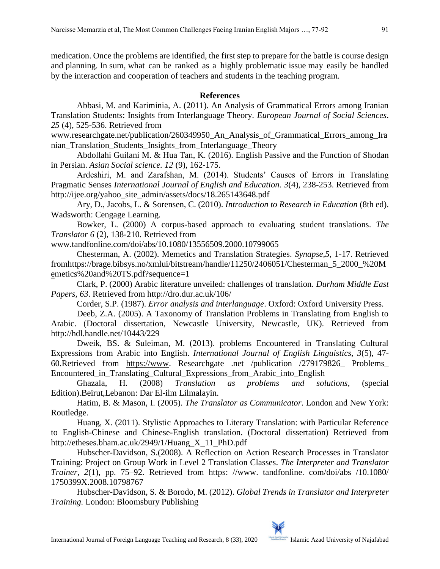medication. Once the problems are identified, the first step to prepare for the battle is course design and planning. In sum, what can be ranked as a highly problematic issue may easily be handled by the interaction and cooperation of teachers and students in the teaching program.

### **References**

Abbasi, M. and Kariminia, A. (2011). An Analysis of Grammatical Errors among Iranian Translation Students: Insights from Interlanguage Theory. *European Journal of Social Sciences*. *25* (4), 525-536. Retrieved from

www.researchgate.net/publication/260349950\_An\_Analysis\_of\_Grammatical\_Errors\_among\_Ira nian\_Translation\_Students\_Insights\_from\_Interlanguage\_Theory

Abdollahi Guilani M. & Hua Tan, K. (2016). English Passive and the Function of Shodan in Persian. *Asian Social science. 12* (9), 162-175.

Ardeshiri, M. and Zarafshan, M. (2014). Students' Causes of Errors in Translating Pragmatic Senses *International Journal of English and Education. 3*(4), 238-253. Retrieved from http://ijee.org/yahoo\_site\_admin/assets/docs/18.265143648.pdf

Ary, D., Jacobs, L. & Sorensen, C. (2010). *Introduction to Research in Education* (8th ed). Wadsworth: Cengage Learning.

Bowker, L. (2000) A corpus-based approach to evaluating student translations. *The Translator 6* (2), 138-210. Retrieved from

www.tandfonline.com/doi/abs/10.1080/13556509.2000.10799065

Chesterman, A. (2002). Memetics and Translation Strategies. *Synapse,5*, 1-17. Retrieved fro[mhttps://brage.bibsys.no/xmlui/bitstream/handle/11250/2406051/Chesterman\\_5\\_2000\\_%20M](https://brage.bibsys.no/xmlui/bitstream/handle/11250/2406051/Chesterman_5_2000_%20Me) [em](https://brage.bibsys.no/xmlui/bitstream/handle/11250/2406051/Chesterman_5_2000_%20Me)etics%20and%20TS.pdf?sequence=1

Clark, P. (2000) Arabic literature unveiled: challenges of translation. *Durham Middle East Papers, 63*. Retrieved from<http://dro.dur.ac.uk/106/>

Corder, S.P. (1987). *Error analysis and interlanguage*. Oxford: Oxford University Press.

Deeb, Z.A. (2005). A Taxonomy of Translation Problems in Translating from English to Arabic. (Doctoral dissertation, Newcastle University, Newcastle, UK). Retrieved from http://hdl.handle.net/10443/229

Dweik, BS. & Suleiman, M. (2013). problems Encountered in Translating Cultural Expressions from Arabic into English. *International Journal of English Linguistics, 3*(5), 47- 60.Retrieved from [https://www.](https://www/) Researchgate .net /publication /279179826\_ Problems\_ Encountered\_in\_Translating\_Cultural\_Expressions\_from\_Arabic\_into\_English

Ghazala, H. (2008) *Translation as problems and solutions*, (special Edition).Beirut,Lebanon: Dar El-ilm Lilmalayin.

Hatim, B. & Mason, I. (2005). *The Translator as Communicator*. London and New York: Routledge.

Huang, X. (2011). Stylistic Approaches to Literary Translation: with Particular Reference to English-Chinese and Chinese-English translation. (Doctoral dissertation) Retrieved from http://etheses.bham.ac.uk/2949/1/Huang\_X\_11\_PhD.pdf

Hubscher-Davidson, S.(2008). A Reflection on Action Research Processes in Translator Training: Project on Group Work in Level 2 Translation Classes. *The Interpreter and Translator Trainer, 2*(1), pp. 75–92. Retrieved from https: //www. tandfonline. com/doi/abs /10.1080/ 1750399X.2008.10798767

Hubscher-Davidson, S. & Borodo, M. (2012). *Global Trends in Translator and Interpreter Training.* London: Bloomsbury Publishing